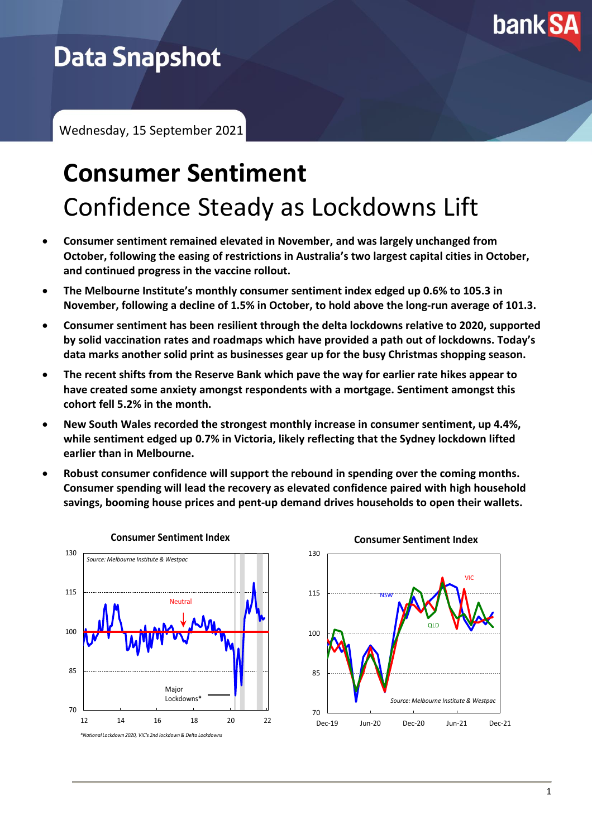

# **Data Snapshot**

Wednesday, 15 September 2021

# **Consumer Sentiment** Confidence Steady as Lockdowns Lift

- **Consumer sentiment remained elevated in November, and was largely unchanged from October, following the easing of restrictions in Australia's two largest capital cities in October, and continued progress in the vaccine rollout.**
- **The Melbourne Institute's monthly consumer sentiment index edged up 0.6% to 105.3 in November, following a decline of 1.5% in October, to hold above the long-run average of 101.3.**
- **Consumer sentiment has been resilient through the delta lockdowns relative to 2020, supported by solid vaccination rates and roadmaps which have provided a path out of lockdowns. Today's data marks another solid print as businesses gear up for the busy Christmas shopping season.**
- **The recent shifts from the Reserve Bank which pave the way for earlier rate hikes appear to have created some anxiety amongst respondents with a mortgage. Sentiment amongst this cohort fell 5.2% in the month.**
- **New South Wales recorded the strongest monthly increase in consumer sentiment, up 4.4%, while sentiment edged up 0.7% in Victoria, likely reflecting that the Sydney lockdown lifted earlier than in Melbourne.**
- **Robust consumer confidence will support the rebound in spending over the coming months. Consumer spending will lead the recovery as elevated confidence paired with high household savings, booming house prices and pent-up demand drives households to open their wallets.**

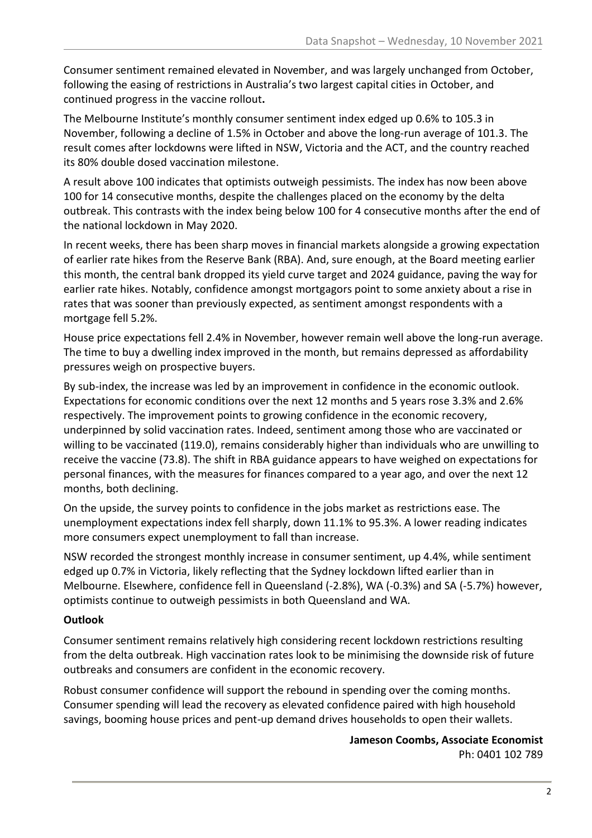Consumer sentiment remained elevated in November, and was largely unchanged from October, following the easing of restrictions in Australia's two largest capital cities in October, and continued progress in the vaccine rollout**.**

The Melbourne Institute's monthly consumer sentiment index edged up 0.6% to 105.3 in November, following a decline of 1.5% in October and above the long-run average of 101.3. The result comes after lockdowns were lifted in NSW, Victoria and the ACT, and the country reached its 80% double dosed vaccination milestone.

A result above 100 indicates that optimists outweigh pessimists. The index has now been above 100 for 14 consecutive months, despite the challenges placed on the economy by the delta outbreak. This contrasts with the index being below 100 for 4 consecutive months after the end of the national lockdown in May 2020.

In recent weeks, there has been sharp moves in financial markets alongside a growing expectation of earlier rate hikes from the Reserve Bank (RBA). And, sure enough, at the Board meeting earlier this month, the central bank dropped its yield curve target and 2024 guidance, paving the way for earlier rate hikes. Notably, confidence amongst mortgagors point to some anxiety about a rise in rates that was sooner than previously expected, as sentiment amongst respondents with a mortgage fell 5.2%.

House price expectations fell 2.4% in November, however remain well above the long-run average. The time to buy a dwelling index improved in the month, but remains depressed as affordability pressures weigh on prospective buyers.

By sub-index, the increase was led by an improvement in confidence in the economic outlook. Expectations for economic conditions over the next 12 months and 5 years rose 3.3% and 2.6% respectively. The improvement points to growing confidence in the economic recovery, underpinned by solid vaccination rates. Indeed, sentiment among those who are vaccinated or willing to be vaccinated (119.0), remains considerably higher than individuals who are unwilling to receive the vaccine (73.8). The shift in RBA guidance appears to have weighed on expectations for personal finances, with the measures for finances compared to a year ago, and over the next 12 months, both declining.

On the upside, the survey points to confidence in the jobs market as restrictions ease. The unemployment expectations index fell sharply, down 11.1% to 95.3%. A lower reading indicates more consumers expect unemployment to fall than increase.

NSW recorded the strongest monthly increase in consumer sentiment, up 4.4%, while sentiment edged up 0.7% in Victoria, likely reflecting that the Sydney lockdown lifted earlier than in Melbourne. Elsewhere, confidence fell in Queensland (-2.8%), WA (-0.3%) and SA (-5.7%) however, optimists continue to outweigh pessimists in both Queensland and WA.

## **Outlook**

Consumer sentiment remains relatively high considering recent lockdown restrictions resulting from the delta outbreak. High vaccination rates look to be minimising the downside risk of future outbreaks and consumers are confident in the economic recovery.

Robust consumer confidence will support the rebound in spending over the coming months. Consumer spending will lead the recovery as elevated confidence paired with high household savings, booming house prices and pent-up demand drives households to open their wallets.

## **Jameson Coombs, Associate Economist** Ph: 0401 102 789